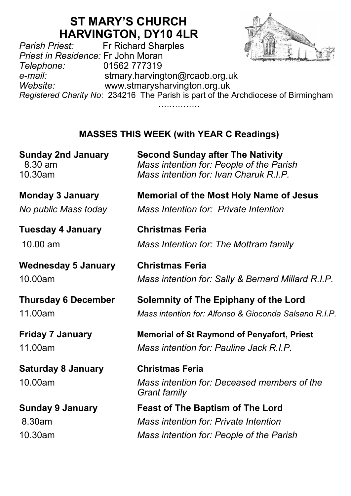# **ST MARY'S CHURCH HARVINGTON, DY10 4LR**<br>Fr Richard Sharples

*Parish Priest:* Fr Richard Sharples *Priest in Residence:* Fr John Moran *Telephone:* 01562 777319 *e-mail:* stmary.harvington@rcaob.org.uk *Website:* www.stmarysharvington.org.uk *Registered Charity No*: 234216 The Parish is part of the Archdiocese of Birmingham …………………

## **MASSES THIS WEEK (with YEAR C Readings)**

| <b>Sunday 2nd January</b>            | <b>Second Sunday after The Nativity</b>                                                      |
|--------------------------------------|----------------------------------------------------------------------------------------------|
| 8.30 am                              | Mass intention for: People of the Parish                                                     |
| 10.30am                              | Mass intention for: Ivan Charuk R.I.P.                                                       |
| <b>Monday 3 January</b>              | <b>Memorial of the Most Holy Name of Jesus</b>                                               |
| No public Mass today                 | Mass Intention for: Private Intention                                                        |
| <b>Tuesday 4 January</b>             | <b>Christmas Feria</b>                                                                       |
| 10.00 am                             | Mass Intention for: The Mottram family                                                       |
| <b>Wednesday 5 January</b>           | <b>Christmas Feria</b>                                                                       |
| 10.00am                              | Mass intention for: Sally & Bernard Millard R.I.P.                                           |
| <b>Thursday 6 December</b>           | Solemnity of The Epiphany of the Lord                                                        |
| 11.00am                              | Mass intention for: Alfonso & Gioconda Salsano R.I.P.                                        |
| <b>Friday 7 January</b>              | <b>Memorial of St Raymond of Penyafort, Priest</b>                                           |
| 11.00am                              | Mass intention for: Pauline Jack R.I.P.                                                      |
| <b>Saturday 8 January</b><br>10.00am | <b>Christmas Feria</b><br>Mass intention for: Deceased members of the<br><b>Grant family</b> |
| <b>Sunday 9 January</b>              | <b>Feast of The Baptism of The Lord</b>                                                      |
| 8.30am                               | Mass intention for: Private Intention                                                        |
| 10.30am                              | Mass intention for: People of the Parish                                                     |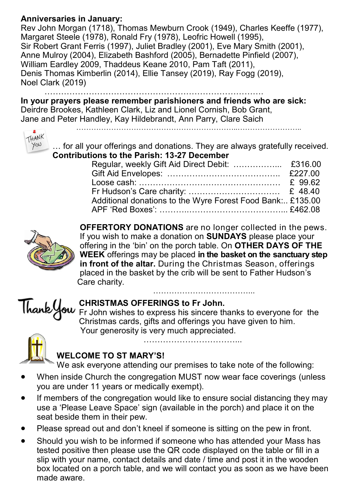#### **Anniversaries in January:**

Rev John Morgan (1718), Thomas Mewburn Crook (1949), Charles Keeffe (1977), Margaret Steele (1978), Ronald Fry (1978), Leofric Howell (1995), Sir Robert Grant Ferris (1997), Juliet Bradley (2001), Eve Mary Smith (2001), Anne Mulroy (2004), Elizabeth Bashford (2005), Bernadette Pinfield (2007), William Eardley 2009, Thaddeus Keane 2010, Pam Taft (2011), Denis Thomas Kimberlin (2014), Ellie Tansey (2019), Ray Fogg (2019), Noel Clark (2019)

…………………………………………………………………….

**In your prayers please remember parishioners and friends who are sick:**  Deirdre Brookes, Kathleen Clark, Liz and Lionel Cornish, Bob Grant, Jane and Peter Handley, Kay Hildebrandt, Ann Parry, Clare Saich

………………………………………………………..……………………..



… for all your offerings and donations. They are always gratefully received. **Contributions to the Parish: 13-27 December**

| Additional donations to the Wyre Forest Food Bank: £135.00 |  |
|------------------------------------------------------------|--|
|                                                            |  |
|                                                            |  |



**OFFERTORY DONATIONS** are no longer collected in the pews. If you wish to make a donation on **SUNDAYS** please place your offering in the 'bin' on the porch table. On **OTHER DAYS OF THE WEEK** offerings may be placed **in the basket on the sanctuary step in front of the altar.** During the Christmas Season, offerings placed in the basket by the crib will be sent to Father Hudson's Care charity.



#### **CHRISTMAS OFFERINGS to Fr John.**

Fr John wishes to express his sincere thanks to everyone for the Christmas cards, gifts and offerings you have given to him. Your generosity is very much appreciated.

……………………………...



#### **WELCOME TO ST MARY'S!**

We ask everyone attending our premises to take note of the following:

- When inside Church the congregation MUST now wear face coverings (unless you are under 11 years or medically exempt).
- If members of the congregation would like to ensure social distancing they may use a 'Please Leave Space' sign (available in the porch) and place it on the seat beside them in their pew.
- Please spread out and don't kneel if someone is sitting on the pew in front.
- Should you wish to be informed if someone who has attended your Mass has tested positive then please use the QR code displayed on the table or fill in a slip with your name, contact details and date / time and post it in the wooden box located on a porch table, and we will contact you as soon as we have been made aware.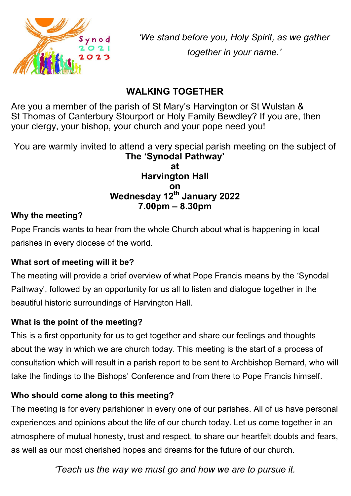

*'We stand before you, Holy Spirit, as we gather together in your name.'*

## **WALKING TOGETHER**

Are you a member of the parish of St Mary's Harvington or St Wulstan & St Thomas of Canterbury Stourport or Holy Family Bewdley? If you are, then your clergy, your bishop, your church and your pope need you!

You are warmly invited to attend a very special parish meeting on the subject of **The 'Synodal Pathway'**

#### **at Harvington Hall on Wednesday 12th January 2022 7.00pm – 8.30pm**

### **Why the meeting?**

Pope Francis wants to hear from the whole Church about what is happening in local parishes in every diocese of the world.

## **What sort of meeting will it be?**

The meeting will provide a brief overview of what Pope Francis means by the 'Synodal Pathway', followed by an opportunity for us all to listen and dialogue together in the beautiful historic surroundings of Harvington Hall.

## **What is the point of the meeting?**

This is a first opportunity for us to get together and share our feelings and thoughts about the way in which we are church today. This meeting is the start of a process of consultation which will result in a parish report to be sent to Archbishop Bernard, who will take the findings to the Bishops' Conference and from there to Pope Francis himself.

## **Who should come along to this meeting?**

The meeting is for every parishioner in every one of our parishes. All of us have personal experiences and opinions about the life of our church today. Let us come together in an atmosphere of mutual honesty, trust and respect, to share our heartfelt doubts and fears, as well as our most cherished hopes and dreams for the future of our church.

*'Teach us the way we must go and how we are to pursue it.*